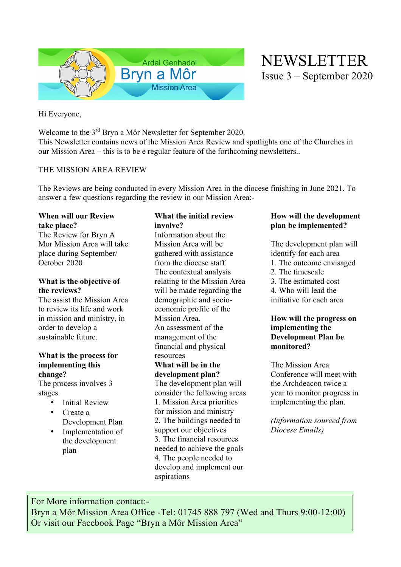

NEWSLETTER Issue 3 – September 2020

Hi Everyone,

Welcome to the 3<sup>rd</sup> Bryn a Môr Newsletter for September 2020. This Newsletter contains news of the Mission Area Review and spotlights one of the Churches in our Mission Area – this is to be e regular feature of the forthcoming newsletters..

## THE MISSION AREA REVIEW

The Reviews are being conducted in every Mission Area in the diocese finishing in June 2021. To answer a few questions regarding the review in our Mission Area:-

## **When will our Review take place?**

The Review for Bryn A Mor Mission Area will take place during September/ October 2020

## **What is the objective of the reviews?**

The assist the Mission Area to review its life and work in mission and ministry, in order to develop a sustainable future.

## **What is the process for implementing this change?**

The process involves 3 stages

- Initial Review
- Create a Development Plan
- Implementation of the development plan

# **What the initial review involve?**

Information about the Mission Area will be gathered with assistance from the diocese staff. The contextual analysis relating to the Mission Area will be made regarding the demographic and socioeconomic profile of the Mission Area. An assessment of the management of the financial and physical resources **What will be in the development plan?** The development plan will consider the following areas 1. Mission Area priorities for mission and ministry 2. The buildings needed to support our objectives 3. The financial resources needed to achieve the goals 4. The people needed to develop and implement our aspirations

## **How will the development plan be implemented?**

The development plan will identify for each area 1. The outcome envisaged 2. The timescale 3. The estimated cost 4. Who will lead the initiative for each area

## **How will the progress on implementing the Development Plan be monitored?**

The Mission Area Conference will meet with the Archdeacon twice a year to monitor progress in implementing the plan.

*(Information sourced from Diocese Emails)*

For More information contact:- Bryn a Môr Mission Area Office -Tel: 01745 888 797 (Wed and Thurs 9:00-12:00) Or visit our Facebook Page "Bryn a Môr Mission Area"